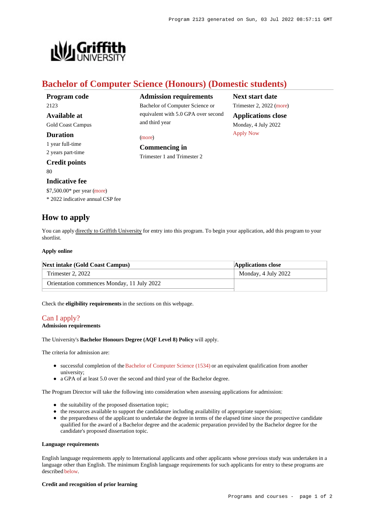

# **Bachelor of Computer Science (Honours) (Domestic students)**

and third year

**Commencing in** Trimester 1 and Trimester 2

[\(more](https://www148.griffith.edu.au/programs-courses/Program/2123/HowToApply/Domestic#can-i-apply))

**Admission requirements** Bachelor of Computer Science or equivalent with 5.0 GPA over second

| Program code             |
|--------------------------|
| 2123                     |
| <b>Available at</b>      |
| <b>Gold Coast Campus</b> |
| Duration                 |

1 year full-time 2 years part-time

**Credit points** 80

## **Indicative fee**

\$7,500.00\* per year [\(more](https://www148.griffith.edu.au/programs-courses/Program/2123/Overview/Domestic#fees))

\* 2022 indicative annual CSP fee

## **How to apply**

You can apply directly to Griffith University for entry into this program. To begin your application, add this program to your shortlist.

#### **Apply online**

| <b>Next intake (Gold Coast Campus)</b>     | <b>Applications close</b> |
|--------------------------------------------|---------------------------|
| Trimester 2, 2022                          | Monday, 4 July 2022       |
| Orientation commences Monday, 11 July 2022 |                           |

Check the **eligibility requirements** in the sections on this webpage.

### [Can I apply?](https://www148.griffith.edu.au/programs-courses/Program/2123/HowToApply/Domestic#can-i-apply)

#### **Admission requirements**

The University's **Bachelor Honours Degree (AQF Level 8) Policy** will apply.

The criteria for admission are:

- successful completion of the [Bachelor of Computer Science \(1534\)](https://www148.griffith.edu.au/Search/Results?SearchText=1534) or an equivalent qualification from another university;
- a GPA of at least 5.0 over the second and third year of the Bachelor degree.

The Program Director will take the following into consideration when assessing applications for admission:

- $\bullet$  the suitability of the proposed dissertation topic;
- the resources available to support the candidature including availability of appropriate supervision;
- the preparedness of the applicant to undertake the degree in terms of the elapsed time since the prospective candidate qualified for the award of a Bachelor degree and the academic preparation provided by the Bachelor degree for the candidate's proposed dissertation topic.

#### **Language requirements**

English language requirements apply to International applicants and other applicants whose previous study was undertaken in a language other than English. The minimum English language requirements for such applicants for entry to these programs are described [below](https://www148.griffith.edu.au/programs-courses/Program/2123/HowToApply/Domestic#language).

#### **Credit and recognition of prior learning**

**Next start date** Trimester 2, 2022 [\(more](https://www148.griffith.edu.au/programs-courses/Program/2123/HowToApply/Domestic)) **Applications close** Monday, 4 July 2022 [Apply Now](https://www148.griffith.edu.au/programs-courses/Program/2123/HowToApply/Domestic#)